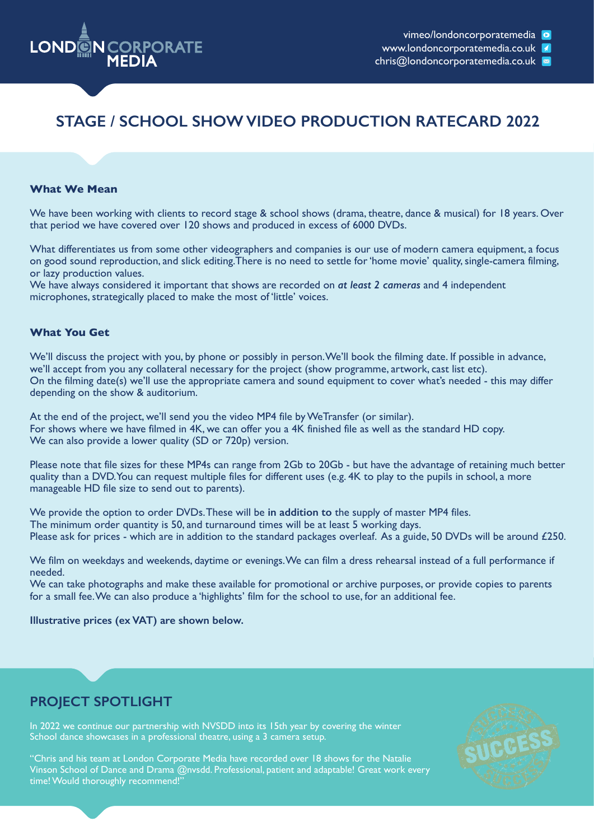

# **STAGE / SCHOOL SHOW VIDEO PRODUCTION RATECARD 2022**

#### **What We Mean**

We have been working with clients to record stage & school shows (drama, theatre, dance & musical) for 18 years. Over that period we have covered over 120 shows and produced in excess of 6000 DVDs.

What differentiates us from some other videographers and companies is our use of modern camera equipment, a focus on good sound reproduction, and slick editing.There is no need to settle for 'home movie' quality, single-camera filming, or lazy production values.

We have always considered it important that shows are recorded on *at least 2 cameras* and 4 independent microphones, strategically placed to make the most of 'little' voices.

#### **What You Get**

We'll discuss the project with you, by phone or possibly in person. We'll book the filming date. If possible in advance, we'll accept from you any collateral necessary for the project (show programme, artwork, cast list etc). On the filming date(s) we'll use the appropriate camera and sound equipment to cover what's needed - this may differ depending on the show & auditorium.

At the end of the project, we'll send you the video MP4 file by WeTransfer (or similar). For shows where we have filmed in 4K, we can offer you a 4K finished file as well as the standard HD copy. We can also provide a lower quality (SD or 720p) version.

Please note that file sizes for these MP4s can range from 2Gb to 20Gb - but have the advantage of retaining much better quality than a DVD. You can request multiple files for different uses (e.g. 4K to play to the pupils in school, a more manageable HD file size to send out to parents).

We provide the option to order DVDs. These will be **in addition to** the supply of master MP4 files. The minimum order quantity is 50, and turnaround times will be at least 5 working days. Please ask for prices - which are in addition to the standard packages overleaf. As a guide, 50 DVDs will be around £250.

We film on weekdays and weekends, daytime or evenings. We can film a dress rehearsal instead of a full performance if needed.

We can take photographs and make these available for promotional or archive purposes, or provide copies to parents for a small fee. We can also produce a 'highlights' film for the school to use, for an additional fee.

#### **Illustrative prices (ex VAT) are shown below.**

### **PROJECT SPOTLIGHT**

In 2022 we continue our partnership with NVSDD into its 15th year by covering the winter School dance showcases in a professional theatre, using a 3 camera setup.



"Chris and his team at London Corporate Media have recorded over 18 shows for the Natalie Vinson School of Dance and Drama @nvsdd. Professional, patient and adaptable! Great work every time! Would thoroughly recommend!"